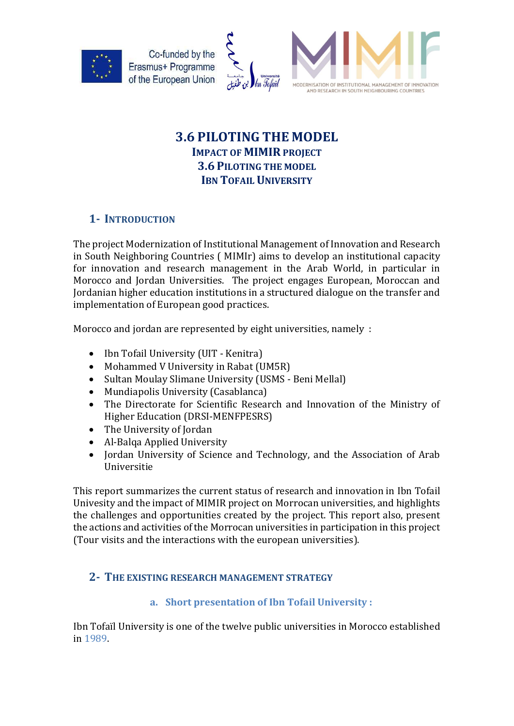



# 3.6 PILOTING THE MODEL IMPACT OF MIMIR PROJECT 3.6 PILOTING THE MODEL **IBN TOFAIL UNIVERSITY**

## 1- INTRODUCTION

The project Modernization of Institutional Management of Innovation and Research in South Neighboring Countries ( MIMIr) aims to develop an institutional capacity for innovation and research management in the Arab World, in particular in Morocco and Jordan Universities. The project engages European, Moroccan and Jordanian higher education institutions in a structured dialogue on the transfer and implementation of European good practices.

Morocco and jordan are represented by eight universities, namely :

- Ibn Tofail University (UIT Kenitra)
- Mohammed V University in Rabat (UM5R)
- Sultan Moulay Slimane University (USMS Beni Mellal)
- Mundiapolis University (Casablanca)
- The Directorate for Scientific Research and Innovation of the Ministry of Higher Education (DRSI-MENFPESRS)
- The University of Jordan
- Al-Balqa Applied University
- Jordan University of Science and Technology, and the Association of Arab Universitie

This report summarizes the current status of research and innovation in Ibn Tofail Univesity and the impact of MIMIR project on Morrocan universities, and highlights the challenges and opportunities created by the project. This report also, present the actions and activities of the Morrocan universities in participation in this project (Tour visits and the interactions with the european universities).

## 2- THE EXISTING RESEARCH MANAGEMENT STRATEGY

## a. Short presentation of Ibn Tofail University :

Ibn Tofaïl University is one of the twelve public universities in Morocco established in 1989.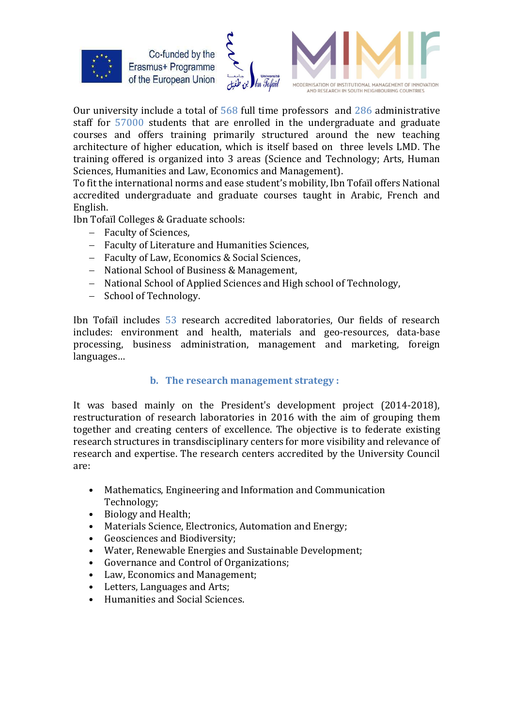



Our university include a total of 568 full time professors and 286 administrative staff for 57000 students that are enrolled in the undergraduate and graduate courses and offers training primarily structured around the new teaching architecture of higher education, which is itself based on three levels LMD. The training offered is organized into 3 areas (Science and Technology; Arts, Human Sciences, Humanities and Law, Economics and Management).

To fit the international norms and ease student's mobility, Ibn Tofaïl offers National accredited undergraduate and graduate courses taught in Arabic, French and English.

Ibn Tofaïl Colleges & Graduate schools:

- Faculty of Sciences.
- Faculty of Literature and Humanities Sciences,
- Faculty of Law, Economics & Social Sciences,
- National School of Business & Management,
- National School of Applied Sciences and High school of Technology.
- School of Technology.

Ibn Tofaïl includes 53 research accredited laboratories, Our fields of research includes: environment and health, materials and geo-resources, data-base processing, business administration, management and marketing, foreign languages…

#### b. The research management strategy :

It was based mainly on the President's development project (2014-2018), restructuration of research laboratories in 2016 with the aim of grouping them together and creating centers of excellence. The objective is to federate existing research structures in transdisciplinary centers for more visibility and relevance of research and expertise. The research centers accredited by the University Council are:

- Mathematics, Engineering and Information and Communication Technology;
- Biology and Health;
- Materials Science, Electronics, Automation and Energy;
- Geosciences and Biodiversity;
- Water, Renewable Energies and Sustainable Development;
- Governance and Control of Organizations;
- Law, Economics and Management;
- Letters, Languages and Arts;
- Humanities and Social Sciences.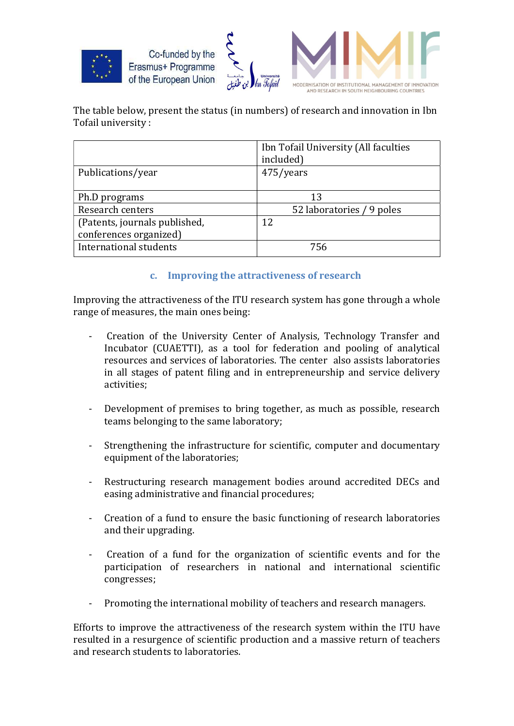



The table below, present the status (in numbers) of research and innovation in Ibn Tofail university :

|                               | Ibn Tofail University (All faculties |
|-------------------------------|--------------------------------------|
|                               | included)                            |
| Publications/year             | 475/years                            |
|                               |                                      |
| Ph.D programs                 | 13                                   |
| Research centers              | 52 laboratories / 9 poles            |
| (Patents, journals published, | 12                                   |
| conferences organized)        |                                      |
| International students        | 756                                  |
|                               |                                      |

### c. Improving the attractiveness of research

Improving the attractiveness of the ITU research system has gone through a whole range of measures, the main ones being:

- Creation of the University Center of Analysis, Technology Transfer and Incubator (CUAETTI), as a tool for federation and pooling of analytical resources and services of laboratories. The center also assists laboratories in all stages of patent filing and in entrepreneurship and service delivery activities;
- Development of premises to bring together, as much as possible, research teams belonging to the same laboratory;
- Strengthening the infrastructure for scientific, computer and documentary equipment of the laboratories;
- Restructuring research management bodies around accredited DECs and easing administrative and financial procedures;
- Creation of a fund to ensure the basic functioning of research laboratories and their upgrading.
- Creation of a fund for the organization of scientific events and for the participation of researchers in national and international scientific congresses;
- Promoting the international mobility of teachers and research managers.

Efforts to improve the attractiveness of the research system within the ITU have resulted in a resurgence of scientific production and a massive return of teachers and research students to laboratories.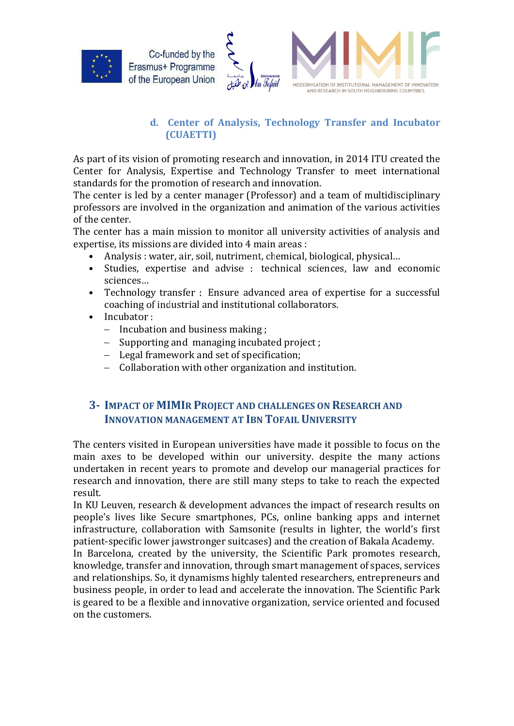



## d. Center of Analysis, Technology Transfer and Incubator (CUAETTI)

As part of its vision of promoting research and innovation, in 2014 ITU created the Center for Analysis, Expertise and Technology Transfer to meet international standards for the promotion of research and innovation.

The center is led by a center manager (Professor) and a team of multidisciplinary professors are involved in the organization and animation of the various activities of the center.

The center has a main mission to monitor all university activities of analysis and expertise, its missions are divided into 4 main areas :

- Analysis : water, air, soil, nutriment, chemical, biological, physical…
- Studies, expertise and advise : technical sciences, law and economic sciences…
- Technology transfer : Ensure advanced area of expertise for a successful coaching of industrial and institutional collaborators.
- Incubator:
	- $-$  Incubation and business making;
	- Supporting and managing incubated project;
	- Legal framework and set of specification;
	- Collaboration with other organization and institution.

## 3- IMPACT OF MIMIR PROJECT AND CHALLENGES ON RESEARCH AND INNOVATION MANAGEMENT AT IBN TOFAIL UNIVERSITY

The centers visited in European universities have made it possible to focus on the main axes to be developed within our university. despite the many actions undertaken in recent years to promote and develop our managerial practices for research and innovation, there are still many steps to take to reach the expected result.

In KU Leuven, research & development advances the impact of research results on people's lives like Secure smartphones, PCs, online banking apps and internet infrastructure, collaboration with Samsonite (results in lighter, the world's first patient-specific lower jawstronger suitcases) and the creation of Bakala Academy.

In Barcelona, created by the university, the Scientific Park promotes research, knowledge, transfer and innovation, through smart management of spaces, services and relationships. So, it dynamisms highly talented researchers, entrepreneurs and business people, in order to lead and accelerate the innovation. The Scientific Park is geared to be a flexible and innovative organization, service oriented and focused on the customers.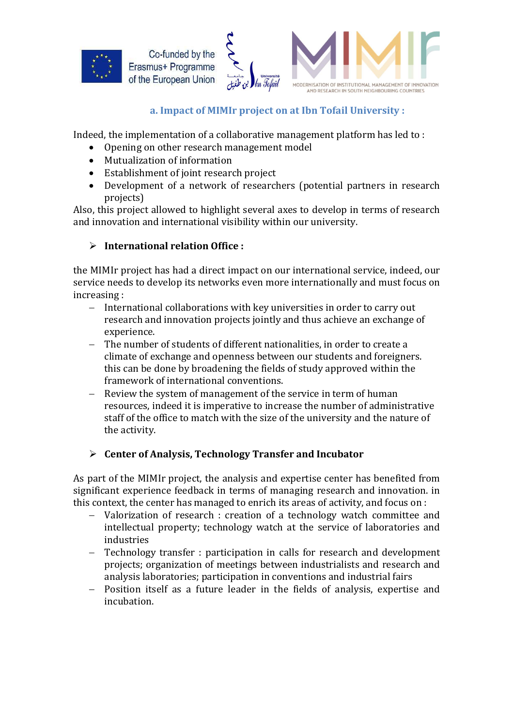



### a. Impact of MIMIr project on at Ibn Tofail University :

Indeed, the implementation of a collaborative management platform has led to :

- Opening on other research management model
- Mutualization of information
- Establishment of joint research project
- Development of a network of researchers (potential partners in research projects)

Also, this project allowed to highlight several axes to develop in terms of research and innovation and international visibility within our university.

### $\triangleright$  International relation Office :

the MIMIr project has had a direct impact on our international service, indeed, our service needs to develop its networks even more internationally and must focus on increasing :

- International collaborations with key universities in order to carry out research and innovation projects jointly and thus achieve an exchange of experience.
- The number of students of different nationalities, in order to create a climate of exchange and openness between our students and foreigners. this can be done by broadening the fields of study approved within the framework of international conventions.
- Review the system of management of the service in term of human resources, indeed it is imperative to increase the number of administrative staff of the office to match with the size of the university and the nature of the activity.

## $\triangleright$  Center of Analysis, Technology Transfer and Incubator

As part of the MIMIr project, the analysis and expertise center has benefited from significant experience feedback in terms of managing research and innovation. in this context, the center has managed to enrich its areas of activity, and focus on :

- Valorization of research : creation of a technology watch committee and intellectual property; technology watch at the service of laboratories and industries
- Technology transfer : participation in calls for research and development projects; organization of meetings between industrialists and research and analysis laboratories; participation in conventions and industrial fairs
- Position itself as a future leader in the fields of analysis, expertise and incubation.